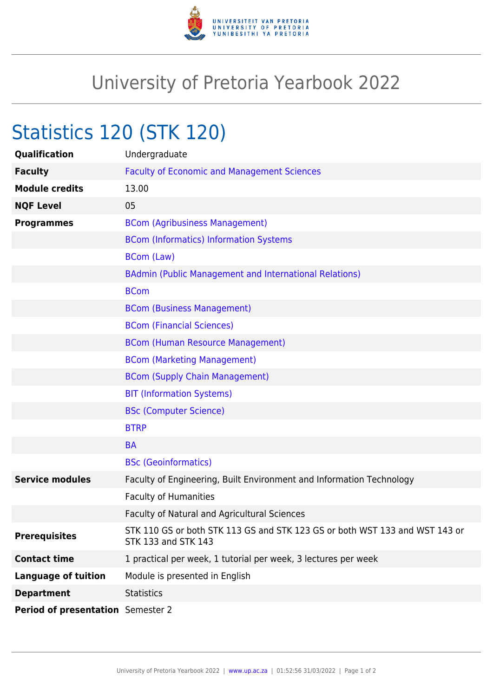

## University of Pretoria Yearbook 2022

## Statistics 120 (STK 120)

| <b>Qualification</b>              | Undergraduate                                                                                             |
|-----------------------------------|-----------------------------------------------------------------------------------------------------------|
| <b>Faculty</b>                    | <b>Faculty of Economic and Management Sciences</b>                                                        |
| <b>Module credits</b>             | 13.00                                                                                                     |
| <b>NQF Level</b>                  | 05                                                                                                        |
| <b>Programmes</b>                 | <b>BCom (Agribusiness Management)</b>                                                                     |
|                                   | <b>BCom (Informatics) Information Systems</b>                                                             |
|                                   | <b>BCom (Law)</b>                                                                                         |
|                                   | <b>BAdmin (Public Management and International Relations)</b>                                             |
|                                   | <b>BCom</b>                                                                                               |
|                                   | <b>BCom (Business Management)</b>                                                                         |
|                                   | <b>BCom (Financial Sciences)</b>                                                                          |
|                                   | <b>BCom (Human Resource Management)</b>                                                                   |
|                                   | <b>BCom (Marketing Management)</b>                                                                        |
|                                   | <b>BCom (Supply Chain Management)</b>                                                                     |
|                                   | <b>BIT (Information Systems)</b>                                                                          |
|                                   | <b>BSc (Computer Science)</b>                                                                             |
|                                   | <b>BTRP</b>                                                                                               |
|                                   | <b>BA</b>                                                                                                 |
|                                   | <b>BSc (Geoinformatics)</b>                                                                               |
| <b>Service modules</b>            | Faculty of Engineering, Built Environment and Information Technology                                      |
|                                   | <b>Faculty of Humanities</b>                                                                              |
|                                   | Faculty of Natural and Agricultural Sciences                                                              |
| <b>Prerequisites</b>              | STK 110 GS or both STK 113 GS and STK 123 GS or both WST 133 and WST 143 or<br><b>STK 133 and STK 143</b> |
| <b>Contact time</b>               | 1 practical per week, 1 tutorial per week, 3 lectures per week                                            |
| <b>Language of tuition</b>        | Module is presented in English                                                                            |
| <b>Department</b>                 | <b>Statistics</b>                                                                                         |
| Period of presentation Semester 2 |                                                                                                           |